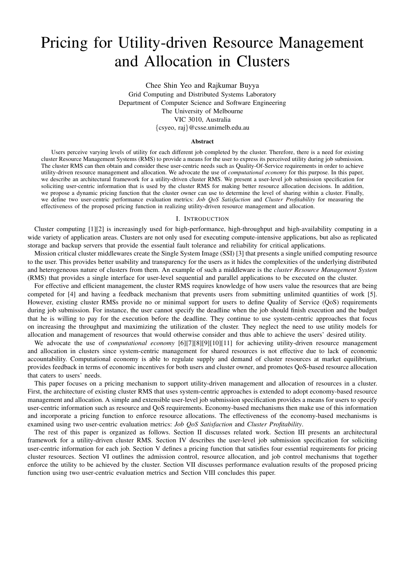# Pricing for Utility-driven Resource Management and Allocation in Clusters

Chee Shin Yeo and Rajkumar Buyya Grid Computing and Distributed Systems Laboratory Department of Computer Science and Software Engineering The University of Melbourne VIC 3010, Australia {csyeo, raj}@csse.unimelb.edu.au

#### Abstract

Users perceive varying levels of utility for each different job completed by the cluster. Therefore, there is a need for existing cluster Resource Management Systems (RMS) to provide a means for the user to express its perceived utility during job submission. The cluster RMS can then obtain and consider these user-centric needs such as Quality-Of-Service requirements in order to achieve utility-driven resource management and allocation. We advocate the use of *computational economy* for this purpose. In this paper, we describe an architectural framework for a utility-driven cluster RMS. We present a user-level job submission specification for soliciting user-centric information that is used by the cluster RMS for making better resource allocation decisions. In addition, we propose a dynamic pricing function that the cluster owner can use to determine the level of sharing within a cluster. Finally, we define two user-centric performance evaluation metrics: *Job QoS Satisfaction* and *Cluster Profitability* for measuring the effectiveness of the proposed pricing function in realizing utility-driven resource management and allocation.

#### I. INTRODUCTION

Cluster computing [1][2] is increasingly used for high-performance, high-throughput and high-availability computing in a wide variety of application areas. Clusters are not only used for executing compute-intensive applications, but also as replicated storage and backup servers that provide the essential fault tolerance and reliability for critical applications.

Mission critical cluster middlewares create the Single System Image (SSI) [3] that presents a single unified computing resource to the user. This provides better usability and transparency for the users as it hides the complexities of the underlying distributed and heterogeneous nature of clusters from them. An example of such a middleware is the *cluster Resource Management System* (RMS) that provides a single interface for user-level sequential and parallel applications to be executed on the cluster.

For effective and efficient management, the cluster RMS requires knowledge of how users value the resources that are being competed for [4] and having a feedback mechanism that prevents users from submitting unlimited quantities of work [5]. However, existing cluster RMSs provide no or minimal support for users to define Quality of Service (QoS) requirements during job submission. For instance, the user cannot specify the deadline when the job should finish execution and the budget that he is willing to pay for the execution before the deadline. They continue to use system-centric approaches that focus on increasing the throughput and maximizing the utilization of the cluster. They neglect the need to use utility models for allocation and management of resources that would otherwise consider and thus able to achieve the users' desired utility.

We advocate the use of *computational economy* [6][7][8][9][10][11] for achieving utility-driven resource management and allocation in clusters since system-centric management for shared resources is not effective due to lack of economic accountability. Computational economy is able to regulate supply and demand of cluster resources at market equilibrium, provides feedback in terms of economic incentives for both users and cluster owner, and promotes QoS-based resource allocation that caters to users' needs.

This paper focuses on a pricing mechanism to support utility-driven management and allocation of resources in a cluster. First, the architecture of existing cluster RMS that uses system-centric approaches is extended to adopt economy-based resource management and allocation. A simple and extensible user-level job submission specification provides a means for users to specify user-centric information such as resource and QoS requirements. Economy-based mechanisms then make use of this information and incorporate a pricing function to enforce resource allocations. The effectiveness of the economy-based mechanisms is examined using two user-centric evaluation metrics: *Job QoS Satisfaction* and *Cluster Profitability*.

The rest of this paper is organized as follows. Section II discusses related work. Section III presents an architectural framework for a utility-driven cluster RMS. Section IV describes the user-level job submission specification for soliciting user-centric information for each job. Section V defines a pricing function that satisfies four essential requirements for pricing cluster resources. Section VI outlines the admission control, resource allocation, and job control mechanisms that together enforce the utility to be achieved by the cluster. Section VII discusses performance evaluation results of the proposed pricing function using two user-centric evaluation metrics and Section VIII concludes this paper.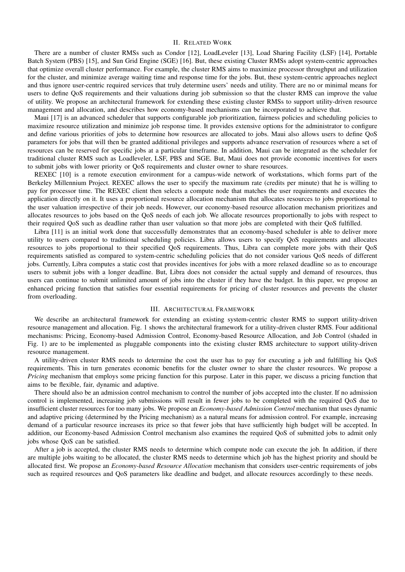# II. RELATED WORK

There are a number of cluster RMSs such as Condor [12], LoadLeveler [13], Load Sharing Facility (LSF) [14], Portable Batch System (PBS) [15], and Sun Grid Engine (SGE) [16]. But, these existing Cluster RMSs adopt system-centric approaches that optimize overall cluster performance. For example, the cluster RMS aims to maximize processor throughput and utilization for the cluster, and minimize average waiting time and response time for the jobs. But, these system-centric approaches neglect and thus ignore user-centric required services that truly determine users' needs and utility. There are no or minimal means for users to define QoS requirements and their valuations during job submission so that the cluster RMS can improve the value of utility. We propose an architectural framework for extending these existing cluster RMSs to support utility-driven resource management and allocation, and describes how economy-based mechanisms can be incorporated to achieve that.

Maui [17] is an advanced scheduler that supports configurable job prioritization, fairness policies and scheduling policies to maximize resource utilization and minimize job response time. It provides extensive options for the administrator to configure and define various priorities of jobs to determine how resources are allocated to jobs. Maui also allows users to define QoS parameters for jobs that will then be granted additional privileges and supports advance reservation of resources where a set of resources can be reserved for specific jobs at a particular timeframe. In addition, Maui can be integrated as the scheduler for traditional cluster RMS such as Loadleveler, LSF, PBS and SGE. But, Maui does not provide economic incentives for users to submit jobs with lower priority or QoS requirements and cluster owner to share resources.

REXEC [10] is a remote execution environment for a campus-wide network of workstations, which forms part of the Berkeley Millennium Project. REXEC allows the user to specify the maximum rate (credits per minute) that he is willing to pay for processor time. The REXEC client then selects a compute node that matches the user requirements and executes the application directly on it. It uses a proportional resource allocation mechanism that allocates resources to jobs proportional to the user valuation irrespective of their job needs. However, our economy-based resource allocation mechanism prioritizes and allocates resources to jobs based on the QoS needs of each job. We allocate resources proportionally to jobs with respect to their required QoS such as deadline rather than user valuation so that more jobs are completed with their QoS fulfilled.

Libra [11] is an initial work done that successfully demonstrates that an economy-based scheduler is able to deliver more utility to users compared to traditional scheduling policies. Libra allows users to specify QoS requirements and allocates resources to jobs proportional to their specified QoS requirements. Thus, Libra can complete more jobs with their QoS requirements satisfied as compared to system-centric scheduling policies that do not consider various QoS needs of different jobs. Currently, Libra computes a static cost that provides incentives for jobs with a more relaxed deadline so as to encourage users to submit jobs with a longer deadline. But, Libra does not consider the actual supply and demand of resources, thus users can continue to submit unlimited amount of jobs into the cluster if they have the budget. In this paper, we propose an enhanced pricing function that satisfies four essential requirements for pricing of cluster resources and prevents the cluster from overloading.

# III. ARCHITECTURAL FRAMEWORK

We describe an architectural framework for extending an existing system-centric cluster RMS to support utility-driven resource management and allocation. Fig. 1 shows the architectural framework for a utility-driven cluster RMS. Four additional mechanisms: Pricing, Economy-based Admission Control, Economy-based Resource Allocation, and Job Control (shaded in Fig. 1) are to be implemented as pluggable components into the existing cluster RMS architecture to support utility-driven resource management.

A utility-driven cluster RMS needs to determine the cost the user has to pay for executing a job and fulfilling his QoS requirements. This in turn generates economic benefits for the cluster owner to share the cluster resources. We propose a *Pricing* mechanism that employs some pricing function for this purpose. Later in this paper, we discuss a pricing function that aims to be flexible, fair, dynamic and adaptive.

There should also be an admission control mechanism to control the number of jobs accepted into the cluster. If no admission control is implemented, increasing job submissions will result in fewer jobs to be completed with the required QoS due to insufficient cluster resources for too many jobs. We propose an *Economy-based Admission Control* mechanism that uses dynamic and adaptive pricing (determined by the Pricing mechanism) as a natural means for admission control. For example, increasing demand of a particular resource increases its price so that fewer jobs that have sufficiently high budget will be accepted. In addition, our Economy-based Admission Control mechanism also examines the required QoS of submitted jobs to admit only jobs whose QoS can be satisfied.

After a job is accepted, the cluster RMS needs to determine which compute node can execute the job. In addition, if there are multiple jobs waiting to be allocated, the cluster RMS needs to determine which job has the highest priority and should be allocated first. We propose an *Economy-based Resource Allocation* mechanism that considers user-centric requirements of jobs such as required resources and QoS parameters like deadline and budget, and allocate resources accordingly to these needs.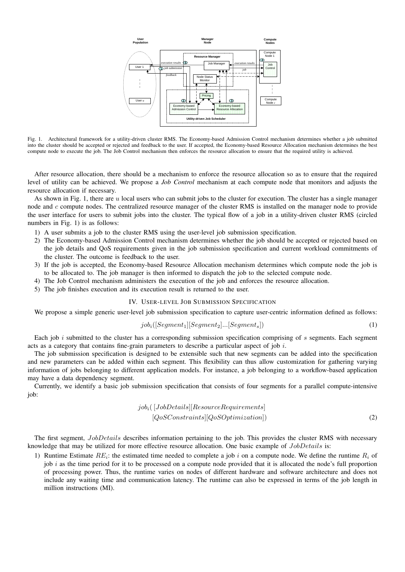

Fig. 1. Architectural framework for a utility-driven cluster RMS. The Economy-based Admission Control mechanism determines whether a job submitted into the cluster should be accepted or rejected and feedback to the user. If accepted, the Economy-based Resource Allocation mechanism determines the best compute node to execute the job. The Job Control mechanism then enforces the resource allocation to ensure that the required utility is achieved.

After resource allocation, there should be a mechanism to enforce the resource allocation so as to ensure that the required level of utility can be achieved. We propose a *Job Control* mechanism at each compute node that monitors and adjusts the resource allocation if necessary.

As shown in Fig. 1, there are  $u$  local users who can submit jobs to the cluster for execution. The cluster has a single manager node and  $c$  compute nodes. The centralized resource manager of the cluster RMS is installed on the manager node to provide the user interface for users to submit jobs into the cluster. The typical flow of a job in a utility-driven cluster RMS (circled numbers in Fig. 1) is as follows:

- 1) A user submits a job to the cluster RMS using the user-level job submission specification.
- 2) The Economy-based Admission Control mechanism determines whether the job should be accepted or rejected based on the job details and QoS requirements given in the job submission specification and current workload commitments of the cluster. The outcome is feedback to the user.
- 3) If the job is accepted, the Economy-based Resource Allocation mechanism determines which compute node the job is to be allocated to. The job manager is then informed to dispatch the job to the selected compute node.
- 4) The Job Control mechanism administers the execution of the job and enforces the resource allocation.
- 5) The job finishes execution and its execution result is returned to the user.

# IV. USER-LEVEL JOB SUBMISSION SPECIFICATION

We propose a simple generic user-level job submission specification to capture user-centric information defined as follows:

$$
job_i([Segment_1][Segment_2]...[Segment_s])
$$
\n<sup>(1)</sup>

Each job  $i$  submitted to the cluster has a corresponding submission specification comprising of  $s$  segments. Each segment acts as a category that contains fine-grain parameters to describe a particular aspect of job  $i$ .

The job submission specification is designed to be extensible such that new segments can be added into the specification and new parameters can be added within each segment. This flexibility can thus allow customization for gathering varying information of jobs belonging to different application models. For instance, a job belonging to a workflow-based application may have a data dependency segment.

Currently, we identify a basic job submission specification that consists of four segments for a parallel compute-intensive job:

$$
job_i([JobDetails][ResourceRequests][QoSConstraints][QoSOptimization])
$$
\n(2)

The first segment, JobDetails describes information pertaining to the job. This provides the cluster RMS with necessary knowledge that may be utilized for more effective resource allocation. One basic example of  $JobDetails$  is:

1) Runtime Estimate  $RE_i$ : the estimated time needed to complete a job i on a compute node. We define the runtime  $R_i$  of job  $i$  as the time period for it to be processed on a compute node provided that it is allocated the node's full proportion of processing power. Thus, the runtime varies on nodes of different hardware and software architecture and does not include any waiting time and communication latency. The runtime can also be expressed in terms of the job length in million instructions (MI).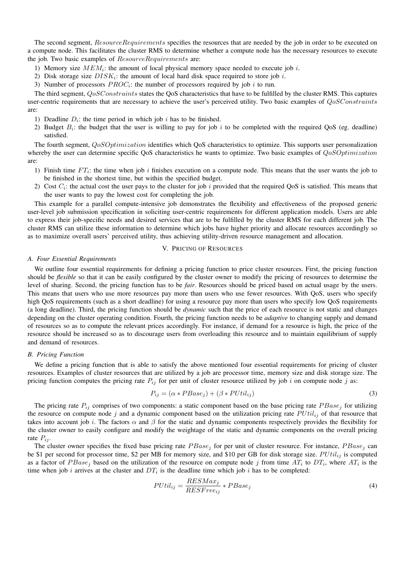The second segment, ResourceRequirements specifies the resources that are needed by the job in order to be executed on a compute node. This facilitates the cluster RMS to determine whether a compute node has the necessary resources to execute the job. Two basic examples of  $ResourceRequest$  are:

- 1) Memory size  $MEM_i$ : the amount of local physical memory space needed to execute job i.
- 2) Disk storage size  $DISK_i$ : the amount of local hard disk space required to store job i.
- 3) Number of processors  $PROC_i$ : the number of processors required by job i to run.

The third segment,  $QoSConstraints$  states the OoS characteristics that have to be fulfilled by the cluster RMS. This captures user-centric requirements that are necessary to achieve the user's perceived utility. Two basic examples of QoSConstraints are:

- 1) Deadline  $D_i$ : the time period in which job i has to be finished.
- 2) Budget  $B_i$ : the budget that the user is willing to pay for job i to be completed with the required QoS (eg. deadline) satisfied.

The fourth segment, *QoSOptimization* identifies which *QoS* characteristics to optimize. This supports user personalization whereby the user can determine specific QoS characteristics he wants to optimize. Two basic examples of QoSOptimization are:

- 1) Finish time  $FT_i$ : the time when job i finishes execution on a compute node. This means that the user wants the job to be finished in the shortest time, but within the specified budget.
- 2) Cost  $C_i$ : the actual cost the user pays to the cluster for job i provided that the required QoS is satisfied. This means that the user wants to pay the lowest cost for completing the job.

This example for a parallel compute-intensive job demonstrates the flexibility and effectiveness of the proposed generic user-level job submission specification in soliciting user-centric requirements for different application models. Users are able to express their job-specific needs and desired services that are to be fulfilled by the cluster RMS for each different job. The cluster RMS can utilize these information to determine which jobs have higher priority and allocate resources accordingly so as to maximize overall users' perceived utility, thus achieving utility-driven resource management and allocation.

# V. PRICING OF RESOURCES

## *A. Four Essential Requirements*

We outline four essential requirements for defining a pricing function to price cluster resources. First, the pricing function should be *flexible* so that it can be easily configured by the cluster owner to modify the pricing of resources to determine the level of sharing. Second, the pricing function has to be *fair*. Resources should be priced based on actual usage by the users. This means that users who use more resources pay more than users who use fewer resources. With QoS, users who specify high QoS requirements (such as a short deadline) for using a resource pay more than users who specify low QoS requirements (a long deadline). Third, the pricing function should be *dynamic* such that the price of each resource is not static and changes depending on the cluster operating condition. Fourth, the pricing function needs to be *adaptive* to changing supply and demand of resources so as to compute the relevant prices accordingly. For instance, if demand for a resource is high, the price of the resource should be increased so as to discourage users from overloading this resource and to maintain equilibrium of supply and demand of resources.

# *B. Pricing Function*

We define a pricing function that is able to satisfy the above mentioned four essential requirements for pricing of cluster resources. Examples of cluster resources that are utilized by a job are processor time, memory size and disk storage size. The pricing function computes the pricing rate  $P_{ij}$  for per unit of cluster resource utilized by job i on compute node j as:

$$
P_{ij} = (\alpha * PBase_j) + (\beta * PUtil_{ij})
$$
\n(3)

The pricing rate  $P_{ij}$  comprises of two components: a static component based on the base pricing rate  $PBase_j$  for utilizing the resource on compute node j and a dynamic component based on the utilization pricing rate  $PUtil_{ij}$  of that resource that takes into account job i. The factors  $\alpha$  and  $\beta$  for the static and dynamic components respectively provides the flexibility for the cluster owner to easily configure and modify the weightage of the static and dynamic components on the overall pricing rate  $P_{ij}$ .

The cluster owner specifies the fixed base pricing rate  $PBase_j$  for per unit of cluster resource. For instance,  $PBase_j$  can be \$1 per second for processor time, \$2 per MB for memory size, and \$10 per GB for disk storage size.  $Plttil_{ij}$  is computed as a factor of  $PBase_j$  based on the utilization of the resource on compute node j from time  $AT_i$  to  $DT_i$ , where  $AT_i$  is the time when job i arrives at the cluster and  $DT_i$  is the deadline time which job i has to be completed:

$$
PUtil_{ij} = \frac{RESMax_j}{RESFree_{ij}} * PBase_j
$$
\n<sup>(4)</sup>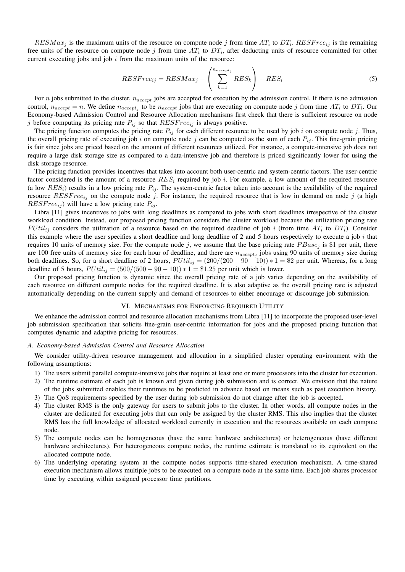$RESMax_j$  is the maximum units of the resource on compute node j from time  $AT_i$  to  $DT_i$ .  $RESFree_{ij}$  is the remaining free units of the resource on compute node j from time  $AT_i$  to  $DT_i$ , after deducting units of resource committed for other current executing jobs and job  $i$  from the maximum units of the resource:

$$
RESFree_{ij} = RESMax_j - \left(\sum_{k=1}^{n_{accept_j}} RES_k\right) - RES_i
$$
\n(5)

For *n* jobs submitted to the cluster,  $n_{accept}$  jobs are accepted for execution by the admission control. If there is no admission control,  $n_{accept} = n$ . We define  $n_{accept_j}$  to be  $n_{accept_j}$  jobs that are executing on compute node j from time  $AT_i$  to  $DT_i$ . Our Economy-based Admission Control and Resource Allocation mechanisms first check that there is sufficient resource on node j before computing its pricing rate  $P_{ij}$  so that  $RESFree_{ij}$  is always positive.

The pricing function computes the pricing rate  $P_{ij}$  for each different resource to be used by job i on compute node j. Thus, the overall pricing rate of executing job i on compute node j can be computed as the sum of each  $P_{ij}$ . This fine-grain pricing is fair since jobs are priced based on the amount of different resources utilized. For instance, a compute-intensive job does not require a large disk storage size as compared to a data-intensive job and therefore is priced significantly lower for using the disk storage resource.

The pricing function provides incentives that takes into account both user-centric and system-centric factors. The user-centric factor considered is the amount of a resource  $RES_i$  required by job i. For example, a low amount of the required resource (a low  $RES_i$ ) results in a low pricing rate  $P_{ij}$ . The system-centric factor taken into account is the availability of the required resource  $RESFree_{ij}$  on the compute node j. For instance, the required resource that is low in demand on node j (a high  $RESFree_{ij}$ ) will have a low pricing rate  $P_{ij}$ .

Libra [11] gives incentives to jobs with long deadlines as compared to jobs with short deadlines irrespective of the cluster workload condition. Instead, our proposed pricing function considers the cluster workload because the utilization pricing rate  $PUtil_{ij}$  considers the utilization of a resource based on the required deadline of job i (from time  $AT_i$  to  $DT_i$ ). Consider this example where the user specifies a short deadline and long deadline of 2 and 5 hours respectively to execute a job i that requires 10 units of memory size. For the compute node j, we assume that the base pricing rate  $PBase_j$  is \$1 per unit, there are 100 free units of memory size for each hour of deadline, and there are  $n_{accept_j}$  jobs using 90 units of memory size during both deadlines. So, for a short deadline of 2 hours,  $Pltil_{ij} = (200/(200-90-10)) * 1 = $2$  per unit. Whereas, for a long deadline of 5 hours,  $Pltil_{ij} = (500/(500 - 90 - 10)) * 1 = $1.25$  per unit which is lower.

Our proposed pricing function is dynamic since the overall pricing rate of a job varies depending on the availability of each resource on different compute nodes for the required deadline. It is also adaptive as the overall pricing rate is adjusted automatically depending on the current supply and demand of resources to either encourage or discourage job submission.

### VI. MECHANISMS FOR ENFORCING REQUIRED UTILITY

We enhance the admission control and resource allocation mechanisms from Libra [11] to incorporate the proposed user-level job submission specification that solicits fine-grain user-centric information for jobs and the proposed pricing function that computes dynamic and adaptive pricing for resources.

# *A. Economy-based Admission Control and Resource Allocation*

We consider utility-driven resource management and allocation in a simplified cluster operating environment with the following assumptions:

- 1) The users submit parallel compute-intensive jobs that require at least one or more processors into the cluster for execution.
- 2) The runtime estimate of each job is known and given during job submission and is correct. We envision that the nature of the jobs submitted enables their runtimes to be predicted in advance based on means such as past execution history.
- 3) The QoS requirements specified by the user during job submission do not change after the job is accepted.
- 4) The cluster RMS is the only gateway for users to submit jobs to the cluster. In other words, all compute nodes in the cluster are dedicated for executing jobs that can only be assigned by the cluster RMS. This also implies that the cluster RMS has the full knowledge of allocated workload currently in execution and the resources available on each compute node.
- 5) The compute nodes can be homogeneous (have the same hardware architectures) or heterogeneous (have different hardware architectures). For heterogeneous compute nodes, the runtime estimate is translated to its equivalent on the allocated compute node.
- 6) The underlying operating system at the compute nodes supports time-shared execution mechanism. A time-shared execution mechanism allows multiple jobs to be executed on a compute node at the same time. Each job shares processor time by executing within assigned processor time partitions.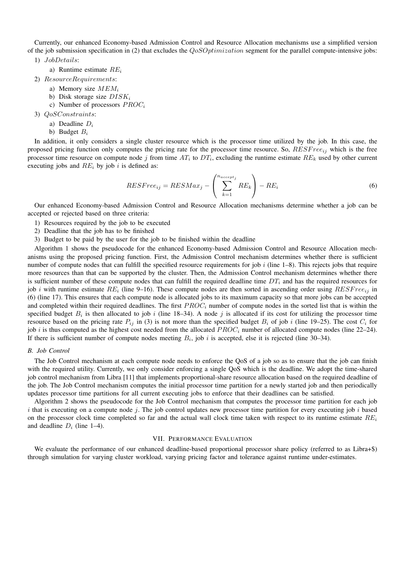Currently, our enhanced Economy-based Admission Control and Resource Allocation mechanisms use a simplified version of the job submission specification in (2) that excludes the  $QoSOptimization$  segment for the parallel compute-intensive jobs:

- 1) JobDetails:
	- a) Runtime estimate  $RE_i$
- 2) ResourceRequirements:
	- a) Memory size  $MEM_i$
	- b) Disk storage size  $DISK_i$
	- c) Number of processors  $PROC_i$
- 3) QoSConstraints:
	- a) Deadline  $D_i$
	- b) Budget  $B_i$

In addition, it only considers a single cluster resource which is the processor time utilized by the job. In this case, the proposed pricing function only computes the pricing rate for the processor time resource. So,  $RESFree_{ij}$  which is the free processor time resource on compute node j from time  $AT_i$  to  $DT_i$ , excluding the runtime estimate  $RE_k$  used by other current executing jobs and  $RE_i$  by job i is defined as:

$$
RESFree_{ij} = RESMax_j - \left(\sum_{k=1}^{n_{acceptj}} RE_k\right) - RE_i
$$
\n(6)

Our enhanced Economy-based Admission Control and Resource Allocation mechanisms determine whether a job can be accepted or rejected based on three criteria:

- 1) Resources required by the job to be executed
- 2) Deadline that the job has to be finished
- 3) Budget to be paid by the user for the job to be finished within the deadline

Algorithm 1 shows the pseudocode for the enhanced Economy-based Admission Control and Resource Allocation mechanisms using the proposed pricing function. First, the Admission Control mechanism determines whether there is sufficient number of compute nodes that can fulfill the specified resource requirements for job  $i$  (line 1–8). This rejects jobs that require more resources than that can be supported by the cluster. Then, the Admission Control mechanism determines whether there is sufficient number of these compute nodes that can fulfill the required deadline time  $DT_i$  and has the required resources for job i with runtime estimate  $RE_i$  (line 9–16). These compute nodes are then sorted in ascending order using  $RESFree_{ij}$  in (6) (line 17). This ensures that each compute node is allocated jobs to its maximum capacity so that more jobs can be accepted and completed within their required deadlines. The first  $PROC<sub>i</sub>$  number of compute nodes in the sorted list that is within the specified budget  $B_i$  is then allocated to job i (line 18–34). A node j is allocated if its cost for utilizing the processor time resource based on the pricing rate  $P_{ij}$  in (3) is not more than the specified budget  $B_i$  of job i (line 19–25). The cost  $C_i$  for job i is thus computed as the highest cost needed from the allocated  $PROC<sub>i</sub>$  number of allocated compute nodes (line 22–24). If there is sufficient number of compute nodes meeting  $B_i$ , job i is accepted, else it is rejected (line 30–34).

#### *B. Job Control*

The Job Control mechanism at each compute node needs to enforce the QoS of a job so as to ensure that the job can finish with the required utility. Currently, we only consider enforcing a single QoS which is the deadline. We adopt the time-shared job control mechanism from Libra [11] that implements proportional-share resource allocation based on the required deadline of the job. The Job Control mechanism computes the initial processor time partition for a newly started job and then periodically updates processor time partitions for all current executing jobs to enforce that their deadlines can be satisfied.

Algorithm 2 shows the pseudocode for the Job Control mechanism that computes the processor time partition for each job i that is executing on a compute node j. The job control updates new processor time partition for every executing job i based on the processor clock time completed so far and the actual wall clock time taken with respect to its runtime estimate  $RE_i$ and deadline  $D_i$  (line 1–4).

# VII. PERFORMANCE EVALUATION

We evaluate the performance of our enhanced deadline-based proportional processor share policy (referred to as Libra+\$) through simulation for varying cluster workload, varying pricing factor and tolerance against runtime under-estimates.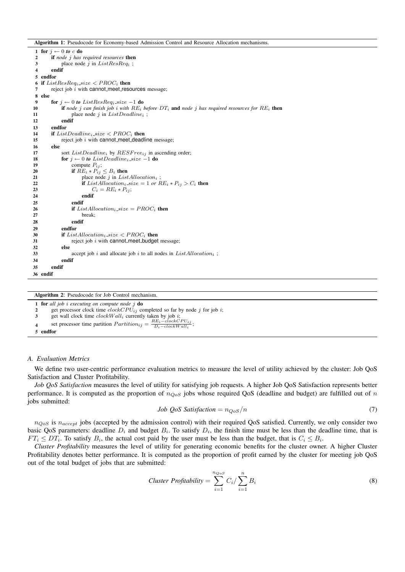Algorithm 1: Pseudocode for Economy-based Admission Control and Resource Allocation mechanisms.

```
1 for j \leftarrow 0 to c do
 2 if node j has required resources then
 3 place node j in ListResReg_i;<br>4 endif
        endif
 5 endfor
 6 if ListResReg_i_size < PROC_i then
 7 reject job i with cannot meet resources message;
 8 else
9 for j \leftarrow 0 to ListResReq<sub>i</sub>_size -1 do<br>10 if node j can finish job i with RE_i10 if node j can finish job i with RE_i before DT_i and node j has required resources for RE_i then place node j in ListDeadline<sub>i</sub>;
                 place node j in ListDeadline_i;
12 endif
13 endfor
14 if ListDeadline_i_size < PROC_i then
15 reject job i with cannot meet deadline message:
16 else
             sort ListDeadline<sub>i</sub> by RESF ree<sub>ij</sub> in ascending order;
18 for j \leftarrow 0 to ListDeadline<sub>i</sub>_size -1 do
19 compute P_{ij};<br>20 if RE_i * P_{ij}20 if RE_i * P_{ij} \leq B_i then<br>21 blace node i in List
21 place node j in ListAllocation<sub>i</sub>:<br>22 if ListAllocation<sub>i</sub> size = 1 or I
22 if ListAllocation<sub>i</sub> size = 1 or RE_i * P_{ij} > C_i then<br>23 C_i = RE_i * P_{i,i}:
                           C_i = RE_i * P_{ij};24 endif
25 endif
26 if ListAllocation_i.size = PROC_i then<br>27 break:
                      break:
28 endif
29 endfor
30 if List Allocation_i.size < PROC_i then<br>31 reject job i with cannot meet budget
                  reject job i with cannot meet budget message;
32 else
                  accept job i and allocate job i to all nodes in ListAllocation_i;
34 endif
35 endif
36 endif
```

| <b>Algorithm 2:</b> Pseudocode for Job Control mechanism. |
|-----------------------------------------------------------|
|-----------------------------------------------------------|

1 for *all job* i *executing on compute node* j do

2 get processor clock time  $clockCPU_{ij}$  completed so far by node j for job i;<br>3 get wall clock time  $clockWall_i$  currently taken by job i;

3 get wall clock time  $clockWall_i$  currently taken by job i;

set processor time partition  $Partition_{ij} = \frac{RE_i - clockCPU_{ij}}{D_i - clockWall_i};$ 

5 endfor

# *A. Evaluation Metrics*

We define two user-centric performance evaluation metrics to measure the level of utility achieved by the cluster: Job QoS Satisfaction and Cluster Profitability.

*Job QoS Satisfaction* measures the level of utility for satisfying job requests. A higher Job QoS Satisfaction represents better performance. It is computed as the proportion of  $n_{QoS}$  jobs whose required QoS (deadline and budget) are fulfilled out of n jobs submitted:

$$
Job \ QoS\ S \text{atification} = n_{QoS}/n \tag{7}
$$

 $n_{OoS}$  is  $n_{accept}$  jobs (accepted by the admission control) with their required QoS satisfied. Currently, we only consider two basic QoS parameters: deadline  $D_i$  and budget  $B_i$ . To satisfy  $D_i$ , the finish time must be less than the deadline time, that is  $FT_i \leq DT_i$ . To satisfy  $B_i$ , the actual cost paid by the user must be less than the budget, that is  $C_i \leq B_i$ .

*Cluster Profitability* measures the level of utility for generating economic benefits for the cluster owner. A higher Cluster Profitability denotes better performance. It is computed as the proportion of profit earned by the cluster for meeting job QoS out of the total budget of jobs that are submitted:

Cluster Profitability = 
$$
\sum_{i=1}^{n_{QoS}} C_i / \sum_{i=1}^{n} B_i
$$
 (8)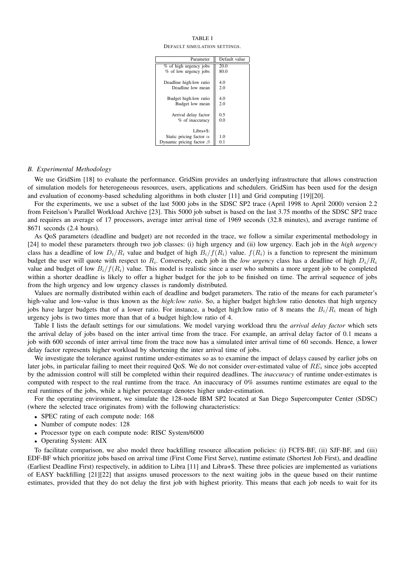# TABLE I

#### DEFAULT SIMULATION SETTINGS.

| Parameter                      | Default value |
|--------------------------------|---------------|
| % of high urgency jobs         | 20.0          |
| % of low urgency jobs          | 80.0          |
|                                |               |
| Deadline high: low ratio       | 4.0           |
| Deadline low mean              | 2.0           |
|                                |               |
| Budget high: low ratio         | 4.0           |
| Budget low mean                | 2.0           |
|                                |               |
| Arrival delay factor           | 0.5           |
| % of inaccuracy                | 0.0           |
|                                |               |
| Libra $+$ \$:                  |               |
| Static pricing factor $\alpha$ | 1.0           |
| Dynamic pricing factor $\beta$ | 0.1           |

# *B. Experimental Methodology*

We use GridSim [18] to evaluate the performance. GridSim provides an underlying infrastructure that allows construction of simulation models for heterogeneous resources, users, applications and schedulers. GridSim has been used for the design and evaluation of economy-based scheduling algorithms in both cluster [11] and Grid computing [19][20].

For the experiments, we use a subset of the last 5000 jobs in the SDSC SP2 trace (April 1998 to April 2000) version 2.2 from Feitelson's Parallel Workload Archive [23]. This 5000 job subset is based on the last 3.75 months of the SDSC SP2 trace and requires an average of 17 processors, average inter arrival time of 1969 seconds (32.8 minutes), and average runtime of 8671 seconds (2.4 hours).

As QoS parameters (deadline and budget) are not recorded in the trace, we follow a similar experimental methodology in [24] to model these parameters through two job classes: (i) high urgency and (ii) low urgency. Each job in the *high urgency* class has a deadline of low  $D_i/R_i$  value and budget of high  $B_i/f(R_i)$  value.  $f(R_i)$  is a function to represent the minimum budget the user will quote with respect to  $R_i$ . Conversely, each job in the *low urgency* class has a deadline of high  $D_i/R_i$ value and budget of low  $B_i/f(R_i)$  value. This model is realistic since a user who submits a more urgent job to be completed within a shorter deadline is likely to offer a higher budget for the job to be finished on time. The arrival sequence of jobs from the high urgency and low urgency classes is randomly distributed.

Values are normally distributed within each of deadline and budget parameters. The ratio of the means for each parameter's high-value and low-value is thus known as the *high:low ratio*. So, a higher budget high:low ratio denotes that high urgency jobs have larger budgets that of a lower ratio. For instance, a budget high:low ratio of 8 means the  $B_i/R_i$  mean of high urgency jobs is two times more than that of a budget high:low ratio of 4.

Table I lists the default settings for our simulations. We model varying workload thru the *arrival delay factor* which sets the arrival delay of jobs based on the inter arrival time from the trace. For example, an arrival delay factor of 0.1 means a job with 600 seconds of inter arrival time from the trace now has a simulated inter arrival time of 60 seconds. Hence, a lower delay factor represents higher workload by shortening the inter arrival time of jobs.

We investigate the tolerance against runtime under-estimates so as to examine the impact of delays caused by earlier jobs on later jobs, in particular failing to meet their required QoS. We do not consider over-estimated value of  $RE_i$  since jobs accepted by the admission control will still be completed within their required deadlines. The *inaccuracy* of runtime under-estimates is computed with respect to the real runtime from the trace. An inaccuracy of  $0\%$  assumes runtime estimates are equal to the real runtimes of the jobs, while a higher percentage denotes higher under-estimation.

For the operating environment, we simulate the 128-node IBM SP2 located at San Diego Supercomputer Center (SDSC) (where the selected trace originates from) with the following characteristics:

• SPEC rating of each compute node: 168

- Number of compute nodes: 128
- Processor type on each compute node: RISC System/6000
- Operating System: AIX

To facilitate comparison, we also model three backfilling resource allocation policies: (i) FCFS-BF, (ii) SJF-BF, and (iii) EDF-BF which prioritize jobs based on arrival time (First Come First Serve), runtime estimate (Shortest Job First), and deadline (Earliest Deadline First) respectively, in addition to Libra [11] and Libra+\$. These three policies are implemented as variations of EASY backfilling [21][22] that assigns unused processors to the next waiting jobs in the queue based on their runtime estimates, provided that they do not delay the first job with highest priority. This means that each job needs to wait for its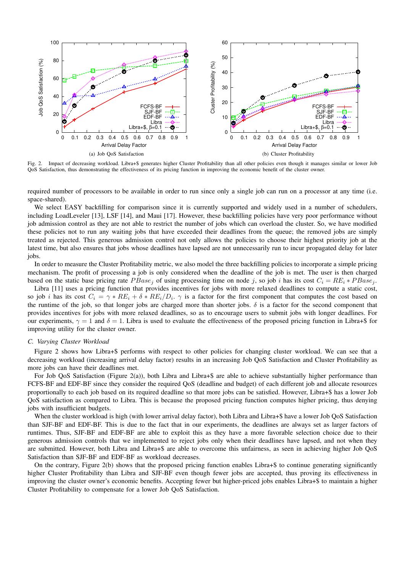

Fig. 2. Impact of decreasing workload. Libra+\$ generates higher Cluster Profitability than all other policies even though it manages similar or lower Job QoS Satisfaction, thus demonstrating the effectiveness of its pricing function in improving the economic benefit of the cluster owner.

required number of processors to be available in order to run since only a single job can run on a processor at any time (i.e. space-shared).

We select EASY backfilling for comparison since it is currently supported and widely used in a number of schedulers, including LoadLeveler [13], LSF [14], and Maui [17]. However, these backfilling policies have very poor performance without job admission control as they are not able to restrict the number of jobs which can overload the cluster. So, we have modified these policies not to run any waiting jobs that have exceeded their deadlines from the queue; the removed jobs are simply treated as rejected. This generous admission control not only allows the policies to choose their highest priority job at the latest time, but also ensures that jobs whose deadlines have lapsed are not unnecessarily run to incur propagated delay for later jobs.

In order to measure the Cluster Profitability metric, we also model the three backfilling policies to incorporate a simple pricing mechanism. The profit of processing a job is only considered when the deadline of the job is met. The user is then charged based on the static base pricing rate  $PBase_j$  of using processing time on node j, so job i has its cost  $C_i = RE_i * PBase_j$ .

Libra [11] uses a pricing function that provides incentives for jobs with more relaxed deadlines to compute a static cost, so job *i* has its cost  $C_i = \gamma * RE_i + \delta * RE_i/D_i$ .  $\gamma$  is a factor for the first component that computes the cost based on the runtime of the job, so that longer jobs are charged more than shorter jobs.  $\delta$  is a factor for the second component that provides incentives for jobs with more relaxed deadlines, so as to encourage users to submit jobs with longer deadlines. For our experiments,  $\gamma = 1$  and  $\delta = 1$ . Libra is used to evaluate the effectiveness of the proposed pricing function in Libra+\$ for improving utility for the cluster owner.

# *C. Varying Cluster Workload*

Figure 2 shows how Libra+\$ performs with respect to other policies for changing cluster workload. We can see that a decreasing workload (increasing arrival delay factor) results in an increasing Job QoS Satisfaction and Cluster Profitability as more jobs can have their deadlines met.

For Job QoS Satisfaction (Figure 2(a)), both Libra and Libra+\$ are able to achieve substantially higher performance than FCFS-BF and EDF-BF since they consider the required QoS (deadline and budget) of each different job and allocate resources proportionally to each job based on its required deadline so that more jobs can be satisfied. However, Libra+\$ has a lower Job QoS satisfaction as compared to Libra. This is because the proposed pricing function computes higher pricing, thus denying jobs with insufficient budgets.

When the cluster workload is high (with lower arrival delay factor), both Libra and Libra+\$ have a lower Job QoS Satisfaction than SJF-BF and EDF-BF. This is due to the fact that in our experiments, the deadlines are always set as larger factors of runtimes. Thus, SJF-BF and EDF-BF are able to exploit this as they have a more favorable selection choice due to their generous admission controls that we implemented to reject jobs only when their deadlines have lapsed, and not when they are submitted. However, both Libra and Libra+\$ are able to overcome this unfairness, as seen in achieving higher Job QoS Satisfaction than SJF-BF and EDF-BF as workload decreases.

On the contrary, Figure 2(b) shows that the proposed pricing function enables Libra+\$ to continue generating significantly higher Cluster Profitability than Libra and SJF-BF even though fewer jobs are accepted, thus proving its effectiveness in improving the cluster owner's economic benefits. Accepting fewer but higher-priced jobs enables Libra+\$ to maintain a higher Cluster Profitability to compensate for a lower Job QoS Satisfaction.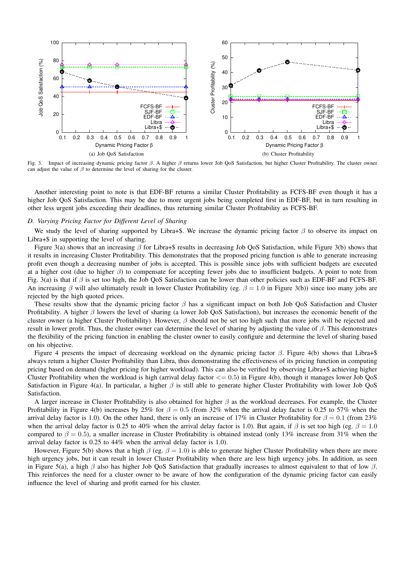

Fig. 3. Impact of increasing dynamic pricing factor β. A higher β returns lower Job QoS Satisfaction, but higher Cluster Profitability. The cluster owner can adjust the value of  $\beta$  to determine the level of sharing for the cluster.

Another interesting point to note is that EDF-BF returns a similar Cluster Profitability as FCFS-BF even though it has a higher Job QoS Satisfaction. This may be due to more urgent jobs being completed first in EDF-BF, but in turn resulting in other less urgent jobs exceeding their deadlines, thus returning similar Cluster Profitability as FCFS-BF.

# *D. Varying Pricing Factor for Different Level of Sharing*

We study the level of sharing supported by Libra+\$. We increase the dynamic pricing factor  $\beta$  to observe its impact on Libra+\$ in supporting the level of sharing.

Figure 3(a) shows that an increasing  $\beta$  for Libra+\$ results in decreasing Job QoS Satisfaction, while Figure 3(b) shows that it results in increasing Cluster Profitability. This demonstrates that the proposed pricing function is able to generate increasing profit even though a decreasing number of jobs is accepted. This is possible since jobs with sufficient budgets are executed at a higher cost (due to higher  $\beta$ ) to compensate for accepting fewer jobs due to insufficient budgets. A point to note from Fig. 3(a) is that if  $\beta$  is set too high, the Job QoS Satisfaction can be lower than other policies such as EDF-BF and FCFS-BF. An increasing  $\beta$  will also ultimately result in lower Cluster Profitability (eg.  $\beta = 1.0$  in Figure 3(b)) since too many jobs are rejected by the high quoted prices.

These results show that the dynamic pricing factor  $\beta$  has a significant impact on both Job QoS Satisfaction and Cluster Profitability. A higher  $\beta$  lowers the level of sharing (a lower Job QoS Satisfaction), but increases the economic benefit of the cluster owner (a higher Cluster Profitability). However,  $\beta$  should not be set too high such that more jobs will be rejected and result in lower profit. Thus, the cluster owner can determine the level of sharing by adjusting the value of  $β$ . This demonstrates the flexibility of the pricing function in enabling the cluster owner to easily configure and determine the level of sharing based on his objective.

Figure 4 presents the impact of decreasing workload on the dynamic pricing factor β. Figure 4(b) shows that Libra+\$ always return a higher Cluster Profitability than Libra, thus demonstrating the effectiveness of its pricing function in computing pricing based on demand (higher pricing for higher workload). This can also be verified by observing Libra+\$ achieving higher Cluster Profitability when the workload is high (arrival delay factor  $\langle 0.5 \rangle$ ) in Figure 4(b), though it manages lower Job OoS Satisfaction in Figure 4(a). In particular, a higher  $\beta$  is still able to generate higher Cluster Profitability with lower Job QoS Satisfaction.

A larger increase in Cluster Profitability is also obtained for higher  $\beta$  as the workload decreases. For example, the Cluster Profitability in Figure 4(b) increases by 25% for  $\beta = 0.5$  (from 32% when the arrival delay factor is 0.25 to 57% when the arrival delay factor is 1.0). On the other hand, there is only an increase of 17% in Cluster Profitability for  $\beta = 0.1$  (from 23% when the arrival delay factor is 0.25 to 40% when the arrival delay factor is 1.0). But again, if  $\beta$  is set too high (eg.  $\beta = 1.0$ compared to  $\beta = 0.5$ ), a smaller increase in Cluster Profitability is obtained instead (only 13% increase from 31% when the arrival delay factor is 0.25 to 44% when the arrival delay factor is 1.0).

However, Figure 5(b) shows that a high  $\beta$  (eg.  $\beta = 1.0$ ) is able to generate higher Cluster Profitability when there are more high urgency jobs, but it can result in lower Cluster Profitability when there are less high urgency jobs. In addition, as seen in Figure 5(a), a high  $\beta$  also has higher Job QoS Satisfaction that gradually increases to almost equivalent to that of low  $\beta$ . This reinforces the need for a cluster owner to be aware of how the configuration of the dynamic pricing factor can easily influence the level of sharing and profit earned for his cluster.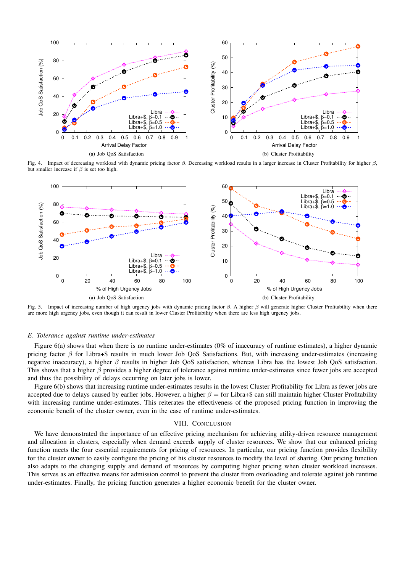

Fig. 4. Impact of decreasing workload with dynamic pricing factor β. Decreasing workload results in a larger increase in Cluster Profitability for higher β, but smaller increase if  $\beta$  is set too high.



Fig. 5. Impact of increasing number of high urgency jobs with dynamic pricing factor β. A higher β will generate higher Cluster Profitability when there are more high urgency jobs, even though it can result in lower Cluster Profitability when there are less high urgency jobs.

#### *E. Tolerance against runtime under-estimates*

Figure 6(a) shows that when there is no runtime under-estimates (0% of inaccuracy of runtime estimates), a higher dynamic pricing factor  $\beta$  for Libra+\$ results in much lower Job OoS Satisfactions. But, with increasing under-estimates (increasing negative inaccuracy), a higher β results in higher Job OoS satisfaction, whereas Libra has the lowest Job OoS satisfaction. This shows that a higher  $\beta$  provides a higher degree of tolerance against runtime under-estimates since fewer jobs are accepted and thus the possibility of delays occurring on later jobs is lower.

Figure 6(b) shows that increasing runtime under-estimates results in the lowest Cluster Profitability for Libra as fewer jobs are accepted due to delays caused by earlier jobs. However, a higher  $\beta$  = for Libra+\$ can still maintain higher Cluster Profitability with increasing runtime under-estimates. This reiterates the effectiveness of the proposed pricing function in improving the economic benefit of the cluster owner, even in the case of runtime under-estimates.

# VIII. CONCLUSION

We have demonstrated the importance of an effective pricing mechanism for achieving utility-driven resource management and allocation in clusters, especially when demand exceeds supply of cluster resources. We show that our enhanced pricing function meets the four essential requirements for pricing of resources. In particular, our pricing function provides flexibility for the cluster owner to easily configure the pricing of his cluster resources to modify the level of sharing. Our pricing function also adapts to the changing supply and demand of resources by computing higher pricing when cluster workload increases. This serves as an effective means for admission control to prevent the cluster from overloading and tolerate against job runtime under-estimates. Finally, the pricing function generates a higher economic benefit for the cluster owner.